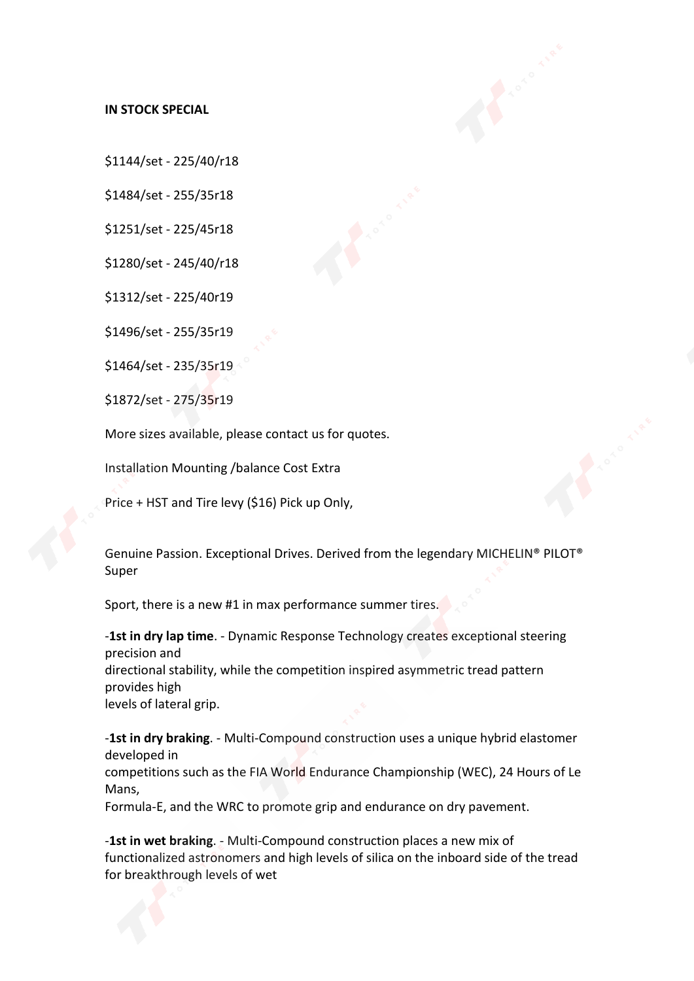## **IN STOCK SPECIAL**

\$1144/set -225/40/r18

\$1484/set -255/35r18

\$1251/set -225/45r18

\$1280/set -245/40/r18

\$1312/set -225/40r19

\$1496/set -255/35r19

\$1464/set -235/35r19

\$1872/set -275/35r19

More sizes available, please contact us for quotes.

Installation Mounting /balance Cost Extra

Price + HST and Tire levy (\$16) Pick up Only,

Genuine Passion. Exceptional Drives. Derived from the legendary MICHELIN® PILOT® Super

Sport, there is a new #1 in max performance summer tires.

-**1st in dry lap time**. - Dynamic Response Technology creates exceptional steering precision and directional stability, while the competition inspired asymmetric tread pattern provides high levels of lateral grip.

-**1st in dry braking**. - Multi-Compound construction uses a unique hybrid elastomer developed in competitions such as the FIA World Endurance Championship (WEC), 24 Hours of Le Mans, Formula-E, and the WRC to promote grip and endurance on dry pavement.

-**1st in wet braking**.- Multi-Compound construction places a new mix of functionalized astronomers and high levels of silica on the inboard side of the tread for breakthrough levels of wet